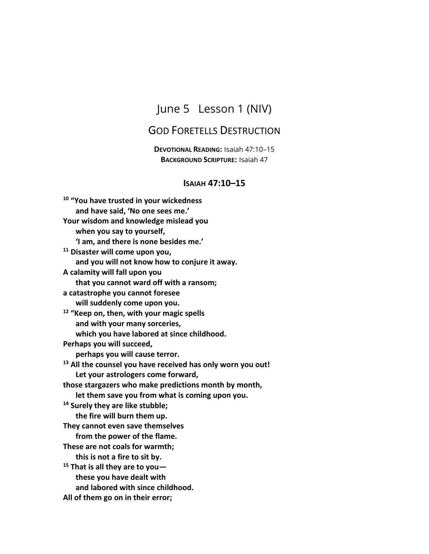# June 5 Lesson 1 (NIV)

# GOD FORETELLS DESTRUCTION

**DEVOTIONAL READING:** Isaiah 47:10–15 **BACKGROUND SCRIPTURE:** Isaiah 47

#### **ISAIAH 47:10–15**

**<sup>10</sup> "You have trusted in your wickedness and have said, 'No one sees me.' Your wisdom and knowledge mislead you when you say to yourself, 'I am, and there is none besides me.' <sup>11</sup> Disaster will come upon you, and you will not know how to conjure it away. A calamity will fall upon you that you cannot ward off with a ransom; a catastrophe you cannot foresee will suddenly come upon you. <sup>12</sup> "Keep on, then, with your magic spells and with your many sorceries, which you have labored at since childhood. Perhaps you will succeed, perhaps you will cause terror. <sup>13</sup> All the counsel you have received has only worn you out! Let your astrologers come forward, those stargazers who make predictions month by month, let them save you from what is coming upon you. <sup>14</sup> Surely they are like stubble; the fire will burn them up. They cannot even save themselves from the power of the flame. These are not coals for warmth; this is not a fire to sit by. <sup>15</sup> That is all they are to you these you have dealt with and labored with since childhood. All of them go on in their error;**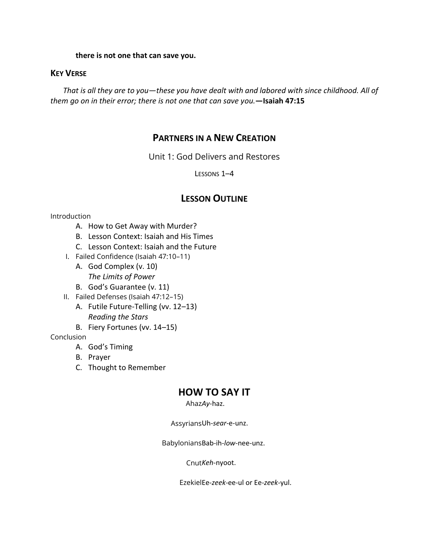#### **there is not one that can save you.**

## **KEY VERSE**

*That is all they are to you—these you have dealt with and labored with since childhood. All of them go on in their error; there is not one that can save you.***—Isaiah 47:15**

# **PARTNERS IN A NEW CREATION**

Unit 1: God Delivers and Restores

LESSONS 1–4

# **LESSON OUTLINE**

## Introduction

- A. How to Get Away with Murder?
- B. Lesson Context: Isaiah and His Times
- C. Lesson Context: Isaiah and the Future
- I. Failed Confidence (Isaiah 47:10–11)
	- A. God Complex (v. 10)
		- *The Limits of Power*
	- B. God's Guarantee (v. 11)
- II. Failed Defenses (Isaiah 47:12–15)
	- A. Futile Future-Telling (vv. 12–13) *Reading the Stars*
	- B. Fiery Fortunes (vv. 14–15)

## **Conclusion**

- A. God's Timing
- B. Prayer
- C. Thought to Remember

# **HOW TO SAY IT**

Ahaz*Ay-*haz.

AssyriansUh-*sear*-e-unz.

BabyloniansBab-ih-*low*-nee-unz.

Cnut*Keh*-nyoot.

EzekielEe-*zeek-*ee-ul or Ee-*zeek-*yul.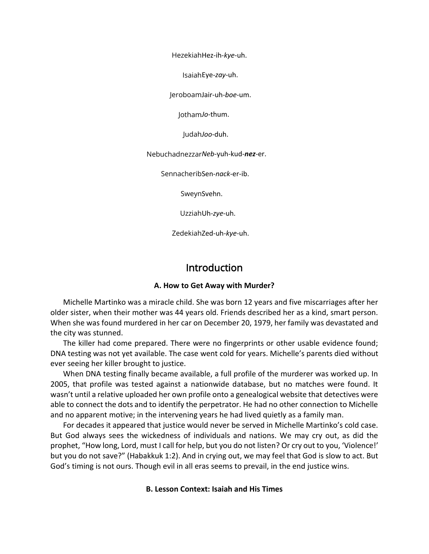HezekiahHez-ih-*kye-*uh.

IsaiahEye-*zay-*uh.

JeroboamJair-uh-*boe*-um.

Jotham*Jo-*thum.

Judah*Joo-*duh.

Nebuchadnezzar*Neb-*yuh-kud-*nez*-er.

SennacheribSen-*nack-*er-ib.

SweynSvehn.

UzziahUh-*zye-*uh.

ZedekiahZed-uh-*kye-*uh.

# Introduction

#### **A. How to Get Away with Murder?**

Michelle Martinko was a miracle child. She was born 12 years and five miscarriages after her older sister, when their mother was 44 years old. Friends described her as a kind, smart person. When she was found murdered in her car on December 20, 1979, her family was devastated and the city was stunned.

The killer had come prepared. There were no fingerprints or other usable evidence found; DNA testing was not yet available. The case went cold for years. Michelle's parents died without ever seeing her killer brought to justice.

When DNA testing finally became available, a full profile of the murderer was worked up. In 2005, that profile was tested against a nationwide database, but no matches were found. It wasn't until a relative uploaded her own profile onto a genealogical website that detectives were able to connect the dots and to identify the perpetrator. He had no other connection to Michelle and no apparent motive; in the intervening years he had lived quietly as a family man.

For decades it appeared that justice would never be served in Michelle Martinko's cold case. But God always sees the wickedness of individuals and nations. We may cry out, as did the prophet, "How long, Lord, must I call for help, but you do not listen? Or cry out to you, 'Violence!' but you do not save?" (Habakkuk 1:2). And in crying out, we may feel that God is slow to act. But God's timing is not ours. Though evil in all eras seems to prevail, in the end justice wins.

#### **B. Lesson Context: Isaiah and His Times**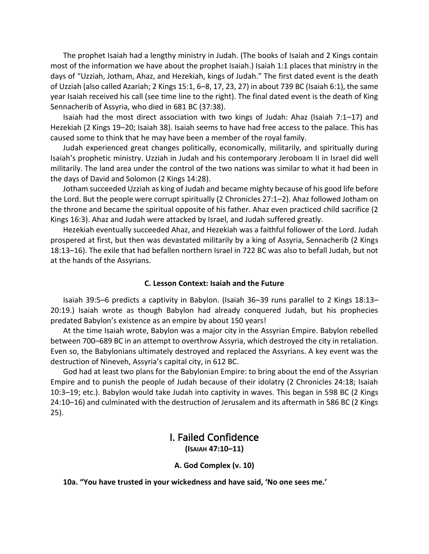The prophet Isaiah had a lengthy ministry in Judah. (The books of Isaiah and 2 Kings contain most of the information we have about the prophet Isaiah.) Isaiah 1:1 places that ministry in the days of "Uzziah, Jotham, Ahaz, and Hezekiah, kings of Judah." The first dated event is the death of Uzziah (also called Azariah; 2 Kings 15:1, 6–8, 17, 23, 27) in about 739 BC (Isaiah 6:1), the same year Isaiah received his call (see time line to the right). The final dated event is the death of King Sennacherib of Assyria, who died in 681 BC (37:38).

Isaiah had the most direct association with two kings of Judah: Ahaz (Isaiah 7:1–17) and Hezekiah (2 Kings 19–20; Isaiah 38). Isaiah seems to have had free access to the palace. This has caused some to think that he may have been a member of the royal family.

Judah experienced great changes politically, economically, militarily, and spiritually during Isaiah's prophetic ministry. Uzziah in Judah and his contemporary Jeroboam II in Israel did well militarily. The land area under the control of the two nations was similar to what it had been in the days of David and Solomon (2 Kings 14:28).

Jotham succeeded Uzziah as king of Judah and became mighty because of his good life before the Lord. But the people were corrupt spiritually (2 Chronicles 27:1–2). Ahaz followed Jotham on the throne and became the spiritual opposite of his father. Ahaz even practiced child sacrifice (2 Kings 16:3). Ahaz and Judah were attacked by Israel, and Judah suffered greatly.

Hezekiah eventually succeeded Ahaz, and Hezekiah was a faithful follower of the Lord. Judah prospered at first, but then was devastated militarily by a king of Assyria, Sennacherib (2 Kings 18:13–16). The exile that had befallen northern Israel in 722 BC was also to befall Judah, but not at the hands of the Assyrians.

#### **C. Lesson Context: Isaiah and the Future**

Isaiah 39:5–6 predicts a captivity in Babylon. (Isaiah 36–39 runs parallel to 2 Kings 18:13– 20:19.) Isaiah wrote as though Babylon had already conquered Judah, but his prophecies predated Babylon's existence as an empire by about 150 years!

At the time Isaiah wrote, Babylon was a major city in the Assyrian Empire. Babylon rebelled between 700–689 BC in an attempt to overthrow Assyria, which destroyed the city in retaliation. Even so, the Babylonians ultimately destroyed and replaced the Assyrians. A key event was the destruction of Nineveh, Assyria's capital city, in 612 BC.

God had at least two plans for the Babylonian Empire: to bring about the end of the Assyrian Empire and to punish the people of Judah because of their idolatry (2 Chronicles 24:18; Isaiah 10:3–19; etc.). Babylon would take Judah into captivity in waves. This began in 598 BC (2 Kings 24:10–16) and culminated with the destruction of Jerusalem and its aftermath in 586 BC (2 Kings 25).

# I. Failed Confidence

**(ISAIAH 47:10–11)**

#### **A. God Complex (v. 10)**

**10a. "You have trusted in your wickedness and have said, 'No one sees me.'**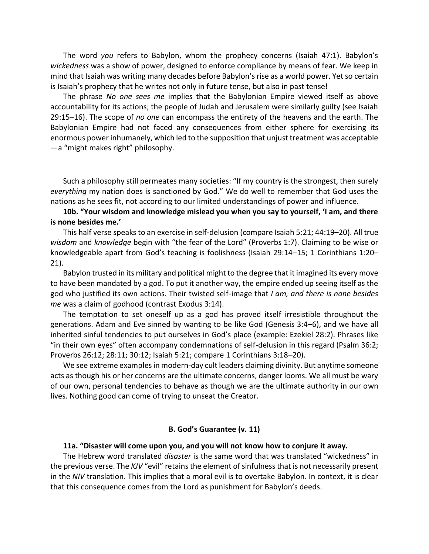The word *you* refers to Babylon, whom the prophecy concerns (Isaiah 47:1). Babylon's *wickedness* was a show of power, designed to enforce compliance by means of fear. We keep in mind that Isaiah was writing many decades before Babylon's rise as a world power. Yet so certain is Isaiah's prophecy that he writes not only in future tense, but also in past tense!

The phrase *No one sees me* implies that the Babylonian Empire viewed itself as above accountability for its actions; the people of Judah and Jerusalem were similarly guilty (see Isaiah 29:15–16). The scope of *no one* can encompass the entirety of the heavens and the earth. The Babylonian Empire had not faced any consequences from either sphere for exercising its enormous power inhumanely, which led to the supposition that unjust treatment was acceptable —a "might makes right" philosophy.

Such a philosophy still permeates many societies: "If my country is the strongest, then surely *everything* my nation does is sanctioned by God." We do well to remember that God uses the nations as he sees fit, not according to our limited understandings of power and influence.

## **10b. "Your wisdom and knowledge mislead you when you say to yourself, 'I am, and there is none besides me.'**

This half verse speaks to an exercise in self-delusion (compare Isaiah 5:21; 44:19–20). All true *wisdom* and *knowledge* begin with "the fear of the Lord" (Proverbs 1:7). Claiming to be wise or knowledgeable apart from God's teaching is foolishness (Isaiah 29:14–15; 1 Corinthians 1:20– 21).

Babylon trusted in its military and political might to the degree that it imagined its every move to have been mandated by a god. To put it another way, the empire ended up seeing itself as the god who justified its own actions. Their twisted self-image that *I am, and there is none besides me* was a claim of godhood (contrast Exodus 3:14).

The temptation to set oneself up as a god has proved itself irresistible throughout the generations. Adam and Eve sinned by wanting to be like God (Genesis 3:4–6), and we have all inherited sinful tendencies to put ourselves in God's place (example: Ezekiel 28:2). Phrases like "in their own eyes" often accompany condemnations of self-delusion in this regard (Psalm 36:2; Proverbs 26:12; 28:11; 30:12; Isaiah 5:21; compare 1 Corinthians 3:18–20).

We see extreme examples in modern-day cult leaders claiming divinity. But anytime someone acts as though his or her concerns are the ultimate concerns, danger looms. We all must be wary of our own, personal tendencies to behave as though we are the ultimate authority in our own lives. Nothing good can come of trying to unseat the Creator.

#### **B. God's Guarantee (v. 11)**

### **11a. "Disaster will come upon you, and you will not know how to conjure it away.**

The Hebrew word translated *disaster* is the same word that was translated "wickedness" in the previous verse. The *KJV* "evil" retains the element of sinfulness that is not necessarily present in the *NIV* translation. This implies that a moral evil is to overtake Babylon. In context, it is clear that this consequence comes from the Lord as punishment for Babylon's deeds.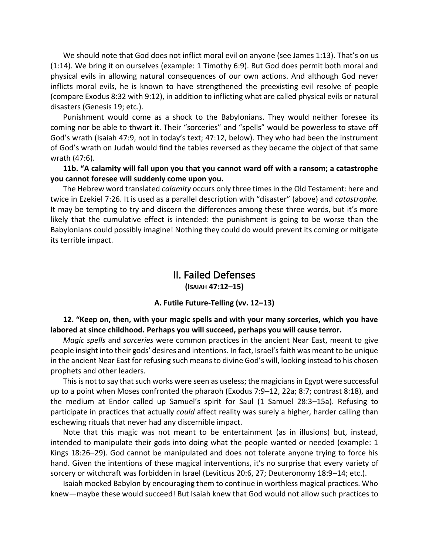We should note that God does not inflict moral evil on anyone (see James 1:13). That's on us (1:14). We bring it on ourselves (example: 1 Timothy 6:9). But God does permit both moral and physical evils in allowing natural consequences of our own actions. And although God never inflicts moral evils, he is known to have strengthened the preexisting evil resolve of people (compare Exodus 8:32 with 9:12), in addition to inflicting what are called physical evils or natural disasters (Genesis 19; etc.).

Punishment would come as a shock to the Babylonians. They would neither foresee its coming nor be able to thwart it. Their "sorceries" and "spells" would be powerless to stave off God's wrath (Isaiah 47:9, not in today's text; 47:12, below). They who had been the instrument of God's wrath on Judah would find the tables reversed as they became the object of that same wrath (47:6).

### **11b. "A calamity will fall upon you that you cannot ward off with a ransom; a catastrophe you cannot foresee will suddenly come upon you.**

The Hebrew word translated *calamity* occurs only three times in the Old Testament: here and twice in Ezekiel 7:26. It is used as a parallel description with "disaster" (above) and *catastrophe.* It may be tempting to try and discern the differences among these three words, but it's more likely that the cumulative effect is intended: the punishment is going to be worse than the Babylonians could possibly imagine! Nothing they could do would prevent its coming or mitigate its terrible impact.

# II. Failed Defenses

**(ISAIAH 47:12–15)**

#### **A. Futile Future-Telling (vv. 12–13)**

**12. "Keep on, then, with your magic spells and with your many sorceries, which you have labored at since childhood. Perhaps you will succeed, perhaps you will cause terror.**

*Magic spells* and *sorceries* were common practices in the ancient Near East, meant to give people insight into their gods' desires and intentions. In fact, Israel's faith was meant to be unique in the ancient Near East for refusing such means to divine God's will, looking instead to his chosen prophets and other leaders.

This is not to say that such works were seen as useless; the magicians in Egypt were successful up to a point when Moses confronted the pharaoh (Exodus 7:9–12, 22a; 8:7; contrast 8:18), and the medium at Endor called up Samuel's spirit for Saul (1 Samuel 28:3–15a). Refusing to participate in practices that actually *could* affect reality was surely a higher, harder calling than eschewing rituals that never had any discernible impact.

Note that this magic was not meant to be entertainment (as in illusions) but, instead, intended to manipulate their gods into doing what the people wanted or needed (example: 1 Kings 18:26–29). God cannot be manipulated and does not tolerate anyone trying to force his hand. Given the intentions of these magical interventions, it's no surprise that every variety of sorcery or witchcraft was forbidden in Israel (Leviticus 20:6, 27; Deuteronomy 18:9–14; etc.).

Isaiah mocked Babylon by encouraging them to continue in worthless magical practices. Who knew—maybe these would succeed! But Isaiah knew that God would not allow such practices to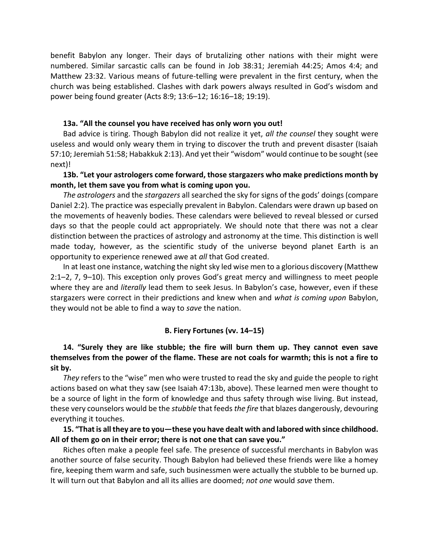benefit Babylon any longer. Their days of brutalizing other nations with their might were numbered. Similar sarcastic calls can be found in Job 38:31; Jeremiah 44:25; Amos 4:4; and Matthew 23:32. Various means of future-telling were prevalent in the first century, when the church was being established. Clashes with dark powers always resulted in God's wisdom and power being found greater (Acts 8:9; 13:6–12; 16:16–18; 19:19).

#### **13a. "All the counsel you have received has only worn you out!**

Bad advice is tiring. Though Babylon did not realize it yet, *all the counsel* they sought were useless and would only weary them in trying to discover the truth and prevent disaster (Isaiah 57:10; Jeremiah 51:58; Habakkuk 2:13). And yet their "wisdom" would continue to be sought (see next)!

## **13b. "Let your astrologers come forward, those stargazers who make predictions month by month, let them save you from what is coming upon you.**

*The astrologers* and the *stargazers* all searched the sky for signs of the gods' doings (compare Daniel 2:2). The practice was especially prevalent in Babylon. Calendars were drawn up based on the movements of heavenly bodies. These calendars were believed to reveal blessed or cursed days so that the people could act appropriately. We should note that there was not a clear distinction between the practices of astrology and astronomy at the time. This distinction is well made today, however, as the scientific study of the universe beyond planet Earth is an opportunity to experience renewed awe at *all* that God created.

In at least one instance, watching the night sky led wise men to a glorious discovery (Matthew 2:1–2, 7, 9–10). This exception only proves God's great mercy and willingness to meet people where they are and *literally* lead them to seek Jesus. In Babylon's case, however, even if these stargazers were correct in their predictions and knew when and *what is coming upon* Babylon, they would not be able to find a way to *save* the nation.

## **B. Fiery Fortunes (vv. 14–15)**

# **14. "Surely they are like stubble; the fire will burn them up. They cannot even save themselves from the power of the flame. These are not coals for warmth; this is not a fire to sit by.**

*They* refers to the "wise" men who were trusted to read the sky and guide the people to right actions based on what they saw (see Isaiah 47:13b, above). These learned men were thought to be a source of light in the form of knowledge and thus safety through wise living. But instead, these very counselors would be the *stubble* that feeds *the fire* that blazes dangerously, devouring everything it touches.

## **15. "That is all they are to you—these you have dealt with and labored with since childhood. All of them go on in their error; there is not one that can save you."**

Riches often make a people feel safe. The presence of successful merchants in Babylon was another source of false security. Though Babylon had believed these friends were like a homey fire, keeping them warm and safe, such businessmen were actually the stubble to be burned up. It will turn out that Babylon and all its allies are doomed; *not one* would *save* them.